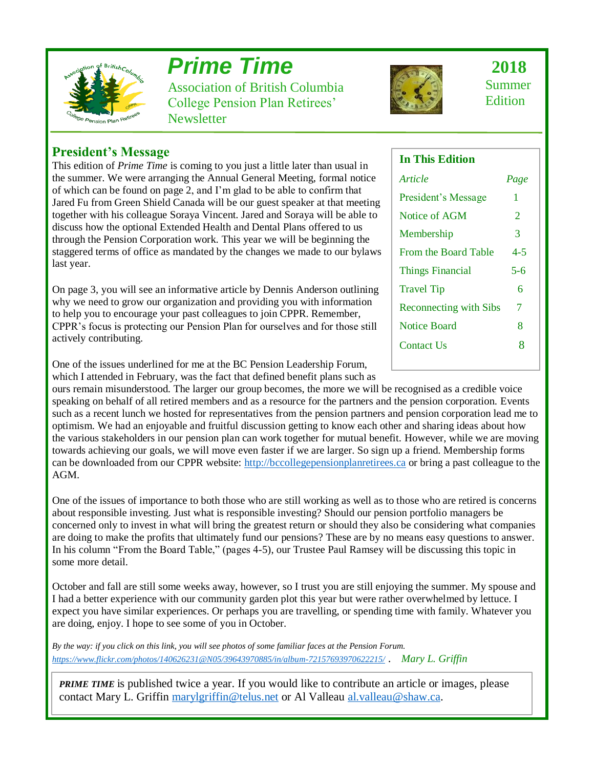

# *Prime Time*

Association of British Columbia College Pension Plan Retirees' **Newsletter** 



 **2018** Summer Edition

### **President's Message**

This edition of *Prime Time* is coming to you just a little later than usual in the summer. We were arranging the Annual General Meeting, formal notice of which can be found on page 2, and I'm glad to be able to confirm that Jared Fu from Green Shield Canada will be our guest speaker at that meeting together with his colleague Soraya Vincent. Jared and Soraya will be able to discuss how the optional Extended Health and Dental Plans offered to us through the Pension Corporation work. This year we will be beginning the staggered terms of office as mandated by the changes we made to our bylaws last year.

On page 3, you will see an informative article by Dennis Anderson outlining why we need to grow our organization and providing you with information to help you to encourage your past colleagues to join CPPR. Remember, CPPR's focus is protecting our Pension Plan for ourselves and for those still actively contributing.

One of the issues underlined for me at the BC Pension Leadership Forum, which I attended in February, was the fact that defined benefit plans such as

ours remain misunderstood. The larger our group becomes, the more we will be recognised as a credible voice speaking on behalf of all retired members and as a resource for the partners and the pension corporation. Events such as a recent lunch we hosted for representatives from the pension partners and pension corporation lead me to optimism. We had an enjoyable and fruitful discussion getting to know each other and sharing ideas about how the various stakeholders in our pension plan can work together for mutual benefit. However, while we are moving towards achieving our goals, we will move even faster if we are larger. So sign up a friend. Membership forms can be downloaded from our CPPR website: [http://bccollegepensionplanretirees.ca](http://bccollegepensionplanretirees.ca/) or bring a past colleague to the AGM.

One of the issues of importance to both those who are still working as well as to those who are retired is concerns about responsible investing. Just what is responsible investing? Should our pension portfolio managers be concerned only to invest in what will bring the greatest return or should they also be considering what companies are doing to make the profits that ultimately fund our pensions? These are by no means easy questions to answer. In his column "From the Board Table," (pages 4-5), our Trustee Paul Ramsey will be discussing this topic in some more detail.

October and fall are still some weeks away, however, so I trust you are still enjoying the summer. My spouse and I had a better experience with our community garden plot this year but were rather overwhelmed by lettuce. I expect you have similar experiences. Or perhaps you are travelling, or spending time with family. Whatever you are doing, enjoy. I hope to see some of you in October.

*By the way: if you click on this link, you will see photos of some familiar faces at the Pension Forum. <https://www.flickr.com/photos/140626231@N05/39643970885/in/album-72157693970622215/>* . *Mary L. Griffin*

**PRIME TIME** is published twice a year. If you would like to contribute an article or images, please contact Mary L. Griffin [marylgriffin@telus.net](mailto:marylgriffin@telus.net) or Al Valleau [al.valleau@shaw.ca.](mailto:al.valleau@shaw.ca)

#### **In This Edition**

| Article                       | Page                  |
|-------------------------------|-----------------------|
| President's Message           | 1                     |
| Notice of AGM                 | $\mathcal{D}_{\cdot}$ |
| Membership                    | 3                     |
| <b>From the Board Table</b>   | $4 - 5$               |
| <b>Things Financial</b>       | $5 - 6$               |
| <b>Travel Tip</b>             | 6                     |
| <b>Reconnecting with Sibs</b> | 7                     |
| Notice Board                  | 8                     |
| <b>Contact Us</b>             | Ջ                     |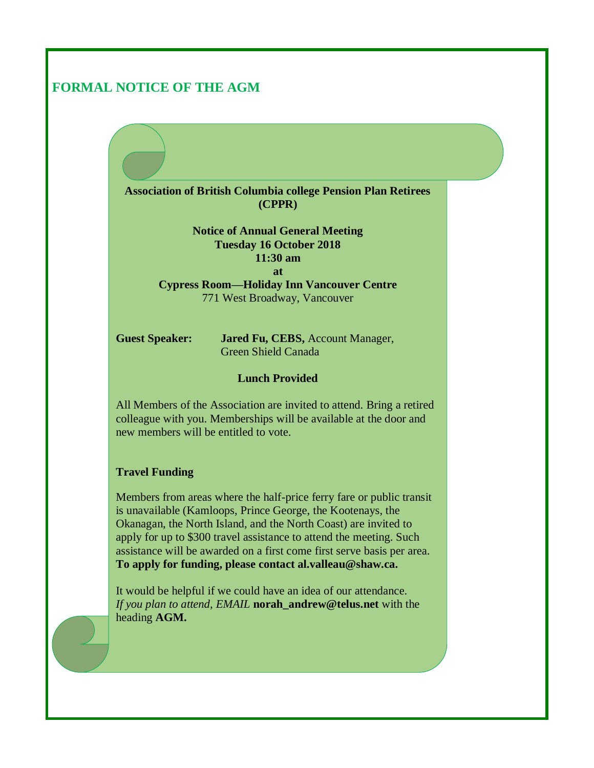### **FORMAL NOTICE OF THE AGM**

**Association of British Columbia college Pension Plan Retirees (CPPR)**

> **Notice of Annual General Meeting Tuesday 16 October 2018 11:30 am at**

**Cypress Room—Holiday Inn Vancouver Centre** 771 West Broadway, Vancouver

**Guest Speaker: Jared Fu, CEBS,** Account Manager, Green Shield Canada

#### **Lunch Provided**

All Members of the Association are invited to attend. Bring a retired colleague with you. Memberships will be available at the door and new members will be entitled to vote.

#### **Travel Funding**

Members from areas where the half-price ferry fare or public transit is unavailable (Kamloops, Prince George, the Kootenays, the Okanagan, the North Island, and the North Coast) are invited to apply for up to \$300 travel assistance to attend the meeting. Such assistance will be awarded on a first come first serve basis per area. **To apply for funding, please contact al.valleau@shaw.ca.** 

It would be helpful if we could have an idea of our attendance. *If you plan to attend, EMAIL* **norah\_andrew@telus.net** with the heading **AGM.**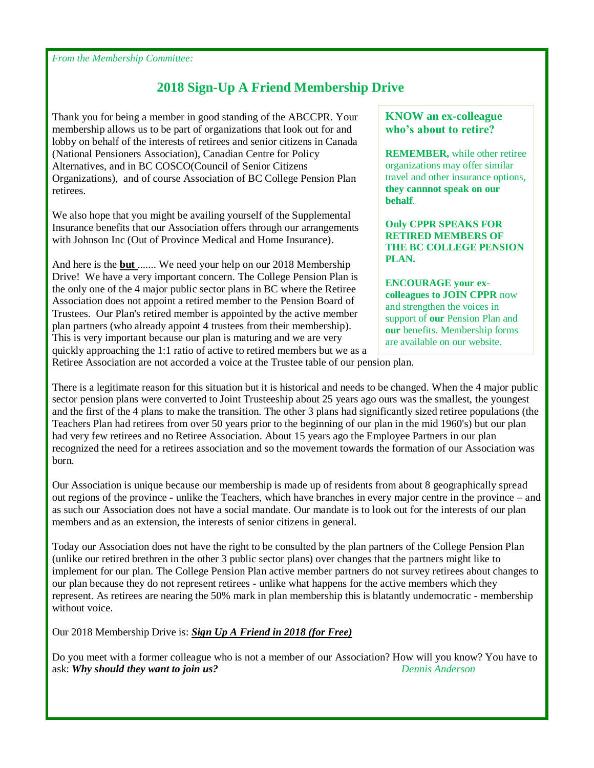*From the Membership Committee:*

# **2018 Sign-Up A Friend Membership Drive**

Thank you for being a member in good standing of the ABCCPR. Your membership allows us to be part of organizations that look out for and lobby on behalf of the interests of retirees and senior citizens in Canada (National Pensioners Association), Canadian Centre for Policy Alternatives, and in BC COSCO(Council of Senior Citizens Organizations), and of course Association of BC College Pension Plan retirees.

We also hope that you might be availing yourself of the Supplemental Insurance benefits that our Association offers through our arrangements with Johnson Inc (Out of Province Medical and Home Insurance).

And here is the **but** ....... We need your help on our 2018 Membership Drive! We have a very important concern. The College Pension Plan is the only one of the 4 major public sector plans in BC where the Retiree Association does not appoint a retired member to the Pension Board of Trustees. Our Plan's retired member is appointed by the active member plan partners (who already appoint 4 trustees from their membership). This is very important because our plan is maturing and we are very quickly approaching the 1:1 ratio of active to retired members but we as a

#### **KNOW an ex-colleague who's about to retire?**

**REMEMBER,** while other retiree organizations may offer similar travel and other insurance options, **they cannnot speak on our behalf**.

**Only CPPR SPEAKS FOR RETIRED MEMBERS OF THE BC COLLEGE PENSION PLAN.** 

**ENCOURAGE your excolleagues to JOIN CPPR** now and strengthen the voices in support of **our** Pension Plan and **our** benefits. Membership forms are available on our website.

Retiree Association are not accorded a voice at the Trustee table of our pension plan.

There is a legitimate reason for this situation but it is historical and needs to be changed. When the 4 major public sector pension plans were converted to Joint Trusteeship about 25 years ago ours was the smallest, the youngest and the first of the 4 plans to make the transition. The other 3 plans had significantly sized retiree populations (the Teachers Plan had retirees from over 50 years prior to the beginning of our plan in the mid 1960's) but our plan had very few retirees and no Retiree Association. About 15 years ago the Employee Partners in our plan recognized the need for a retirees association and so the movement towards the formation of our Association was born.

Our Association is unique because our membership is made up of residents from about 8 geographically spread out regions of the province - unlike the Teachers, which have branches in every major centre in the province – and as such our Association does not have a social mandate. Our mandate is to look out for the interests of our plan members and as an extension, the interests of senior citizens in general.

Today our Association does not have the right to be consulted by the plan partners of the College Pension Plan (unlike our retired brethren in the other 3 public sector plans) over changes that the partners might like to implement for our plan. The College Pension Plan active member partners do not survey retirees about changes to our plan because they do not represent retirees - unlike what happens for the active members which they represent. As retirees are nearing the 50% mark in plan membership this is blatantly undemocratic - membership without voice.

Our 2018 Membership Drive is: *Sign Up A Friend in 2018 (for Free)*

Do you meet with a former colleague who is not a member of our Association? How will you know? You have to ask: *Why should they want to join us? Dennis Anderson*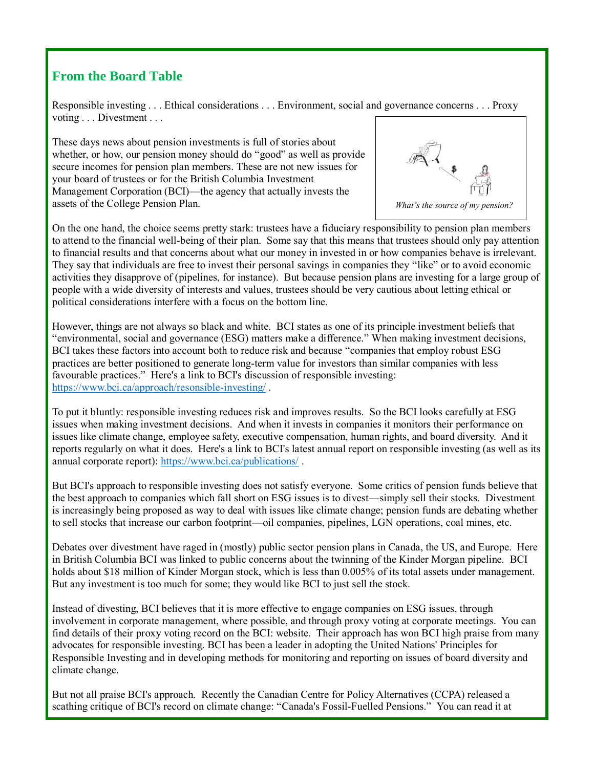# **From the Board Table**

Responsible investing . . . Ethical considerations . . . Environment, social and governance concerns . . . Proxy voting . . . Divestment . . .

These days news about pension investments is full of stories about whether, or how, our pension money should do "good" as well as provide secure incomes for pension plan members. These are not new issues for your board of trustees or for the British Columbia Investment Management Corporation (BCI)—the agency that actually invests the assets of the College Pension Plan.



On the one hand, the choice seems pretty stark: trustees have a fiduciary responsibility to pension plan members to attend to the financial well-being of their plan. Some say that this means that trustees should only pay attention to financial results and that concerns about what our money in invested in or how companies behave is irrelevant. They say that individuals are free to invest their personal savings in companies they "like" or to avoid economic activities they disapprove of (pipelines, for instance). But because pension plans are investing for a large group of people with a wide diversity of interests and values, trustees should be very cautious about letting ethical or political considerations interfere with a focus on the bottom line.

However, things are not always so black and white. BCI states as one of its principle investment beliefs that "environmental, social and governance (ESG) matters make a difference." When making investment decisions, BCI takes these factors into account both to reduce risk and because "companies that employ robust ESG practices are better positioned to generate long-term value for investors than similar companies with less favourable practices." Here's a link to BCI's discussion of responsible investing: <https://www.bci.ca/approach/resonsible-investing/> .

To put it bluntly: responsible investing reduces risk and improves results. So the BCI looks carefully at ESG issues when making investment decisions. And when it invests in companies it monitors their performance on issues like climate change, employee safety, executive compensation, human rights, and board diversity. And it reports regularly on what it does. Here's a link to BCI's latest annual report on responsible investing (as well as its annual corporate report): <https://www.bci.ca/publications/> .

But BCI's approach to responsible investing does not satisfy everyone. Some critics of pension funds believe that the best approach to companies which fall short on ESG issues is to divest—simply sell their stocks. Divestment is increasingly being proposed as way to deal with issues like climate change; pension funds are debating whether to sell stocks that increase our carbon footprint—oil companies, pipelines, LGN operations, coal mines, etc.

Debates over divestment have raged in (mostly) public sector pension plans in Canada, the US, and Europe. Here in British Columbia BCI was linked to public concerns about the twinning of the Kinder Morgan pipeline. BCI holds about \$18 million of Kinder Morgan stock, which is less than 0.005% of its total assets under management. But any investment is too much for some; they would like BCI to just sell the stock.

Instead of divesting, BCI believes that it is more effective to engage companies on ESG issues, through involvement in corporate management, where possible, and through proxy voting at corporate meetings. You can find details of their proxy voting record on the BCI: website. Their approach has won BCI high praise from many advocates for responsible investing. BCI has been a leader in adopting the United Nations' Principles for Responsible Investing and in developing methods for monitoring and reporting on issues of board diversity and climate change.

But not all praise BCI's approach. Recently the Canadian Centre for Policy Alternatives (CCPA) released a scathing critique of BCI's record on climate change: "Canada's Fossil-Fuelled Pensions." You can read it at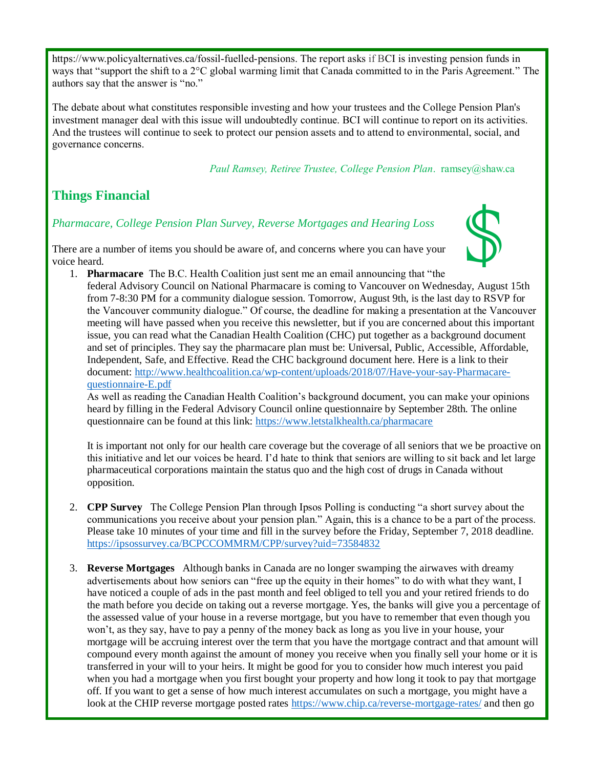[https://www.policyalternatives.ca/fossil-fuelled-pensions.](https://www.policyalternatives.ca/fossil-fuelled-pensions) The report asks if BCI is investing pension funds in ways that "support the shift to a 2°C global warming limit that Canada committed to in the Paris Agreement." The authors say that the answer is "no."

The debate about what constitutes responsible investing and how your trustees and the College Pension Plan's investment manager deal with this issue will undoubtedly continue. BCI will continue to report on its activities. And the trustees will continue to seek to protect our pension assets and to attend to environmental, social, and governance concerns.

 *Paul Ramsey, Retiree Trustee, College Pension Plan*. ramsey@shaw.ca

## **Things Financial**

#### *Pharmacare, College Pension Plan Survey, Reverse Mortgages and Hearing Loss*

There are a number of items you should be aware of, and concerns where you can have your voice heard.



1. **Pharmacare** The B.C. Health Coalition just sent me an email announcing that "the federal Advisory Council on National Pharmacare is coming to Vancouver on Wednesday, August 15th from 7-8:30 PM for a community dialogue session. Tomorrow, August 9th, is the last day to RSVP for the Vancouver community dialogue." Of course, the deadline for making a presentation at the Vancouver meeting will have passed when you receive this newsletter, but if you are concerned about this important issue, you can read what the Canadian Health Coalition (CHC) put together as a background document and set of principles. They say the pharmacare plan must be: Universal, Public, Accessible, Affordable, Independent, Safe, and Effective. Read the CHC background document here. Here is a link to their document: [http://www.healthcoalition.ca/wp-content/uploads/2018/07/Have-your-say-Pharmacare](http://www.healthcoalition.ca/wp-content/uploads/2018/07/Have-your-say-Pharmacare-questionnaire-E.pdf)[questionnaire-E.pdf](http://www.healthcoalition.ca/wp-content/uploads/2018/07/Have-your-say-Pharmacare-questionnaire-E.pdf)

As well as reading the Canadian Health Coalition's background document, you can make your opinions heard by filling in the Federal Advisory Council online questionnaire by September 28th. The online questionnaire can be found at this link:<https://www.letstalkhealth.ca/pharmacare>

It is important not only for our health care coverage but the coverage of all seniors that we be proactive on this initiative and let our voices be heard. I'd hate to think that seniors are willing to sit back and let large pharmaceutical corporations maintain the status quo and the high cost of drugs in Canada without opposition.

- 2. **CPP Survey** The College Pension Plan through Ipsos Polling is conducting "a short survey about the communications you receive about your pension plan." Again, this is a chance to be a part of the process. Please take 10 minutes of your time and fill in the survey before the Friday, September 7, 2018 deadline. <https://ipsossurvey.ca/BCPCCOMMRM/CPP/survey?uid=73584832>
- 3. **Reverse Mortgages** Although banks in Canada are no longer swamping the airwaves with dreamy advertisements about how seniors can "free up the equity in their homes" to do with what they want, I have noticed a couple of ads in the past month and feel obliged to tell you and your retired friends to do the math before you decide on taking out a reverse mortgage. Yes, the banks will give you a percentage of the assessed value of your house in a reverse mortgage, but you have to remember that even though you won't, as they say, have to pay a penny of the money back as long as you live in your house, your mortgage will be accruing interest over the term that you have the mortgage contract and that amount will compound every month against the amount of money you receive when you finally sell your home or it is transferred in your will to your heirs. It might be good for you to consider how much interest you paid when you had a mortgage when you first bought your property and how long it took to pay that mortgage off. If you want to get a sense of how much interest accumulates on such a mortgage, you might have a look at the CHIP reverse mortgage posted rates<https://www.chip.ca/reverse-mortgage-rates/> and then go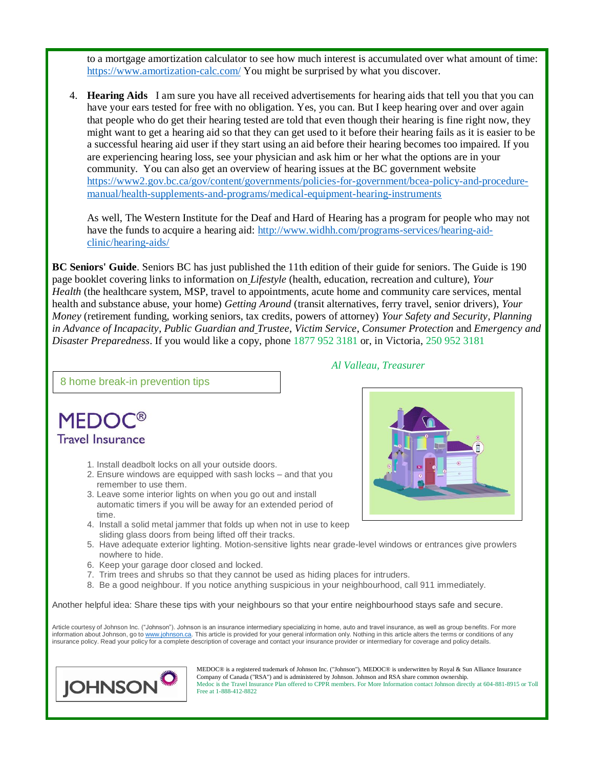to a mortgage amortization calculator to see how much interest is accumulated over what amount of time: <https://www.amortization-calc.com/> You might be surprised by what you discover.

4. **Hearing Aids** I am sure you have all received advertisements for hearing aids that tell you that you can have your ears tested for free with no obligation. Yes, you can. But I keep hearing over and over again that people who do get their hearing tested are told that even though their hearing is fine right now, they might want to get a hearing aid so that they can get used to it before their hearing fails as it is easier to be a successful hearing aid user if they start using an aid before their hearing becomes too impaired. If you are experiencing hearing loss, see your physician and ask him or her what the options are in your community. You can also get an overview of hearing issues at the BC government website https://www2.gov.bc.ca/gov/content/governments/policies-for-government/bcea-policy-and-proceduremanual/health-supplements-and-programs/medical-equipment-hearing-instruments

As well, The Western Institute for the Deaf and Hard of Hearing has a program for people who may not have the funds to acquire a hearing aid: [http://www.widhh.com/programs-services/hearing-aid](http://www.widhh.com/programs-services/hearing-aid-clinic/hearing-aids/)[clinic/hearing-aids/](http://www.widhh.com/programs-services/hearing-aid-clinic/hearing-aids/)

**BC Seniors' Guide**. Seniors BC has just published the 11th edition of their guide for seniors. The Guide is 190 page booklet covering links to information on *Lifestyle* (health, education, recreation and culture), *Your Health* (the healthcare system, MSP, travel to appointments, acute home and community care services, mental health and substance abuse, your home) *Getting Around* (transit alternatives, ferry travel, senior drivers), *Your Money* (retirement funding, working seniors, tax credits, powers of attorney) *Your Safety and Security*, *Planning in Advance of Incapacity*, *Public Guardian and Trustee*, *Victim Service*, *Consumer Protection* and *Emergency and Disaster Preparedness*. If you would like a copy, phone 1877 952 3181 or, in Victoria, 250 952 3181

#### 8 home break-in prevention tips

# **MEDO Travel Insurance**

- 1. Install deadbolt locks on all your outside doors.
- 2. Ensure windows are equipped with sash locks and that you remember to use them.
- 3. Leave some interior lights on when you go out and install automatic timers if you will be away for an extended period of time.
- 4. Install a solid metal jammer that folds up when not in use to keep sliding glass doors from being lifted off their tracks.
- 5. Have adequate exterior lighting. Motion-sensitive lights near grade-level windows or entrances give prowlers nowhere to hide.
- 6. Keep your garage door closed and locked.
- 7. Trim trees and shrubs so that they cannot be used as hiding places for intruders.
- 8. Be a good neighbour. If you notice anything suspicious in your neighbourhood, call 911 immediately.

Another helpful idea: Share these tips with your neighbours so that your entire neighbourhood stays safe and secure.

Article courtesy of Johnson Inc. ("Johnson"). Johnson is an insurance intermediary specializing in home, auto and travel insurance, as well as group benefits. For more information about Johnson, go t[o www.johnson.ca.](http://www.johnson.ca/) This article is provided for your general information only. Nothing in this article alters the terms or conditions of any insurance policy. Read your policy for a complete description of coverage and contact your insurance provider or intermediary for coverage and policy details.



MEDOC® is a registered trademark of Johnson Inc. ("Johnson"). MEDOC® is underwritten by Royal & Sun Alliance Insurance Company of Canada ("RSA") and is administered by Johnson. Johnson and RSA share common ownership. Medoc is the Travel Insurance Plan offered to CPPR members. For More Information contact Johnson directly at 604-881-8915 or Toll Free at 1-888-412-8822

#### *Al Valleau, Treasurer*

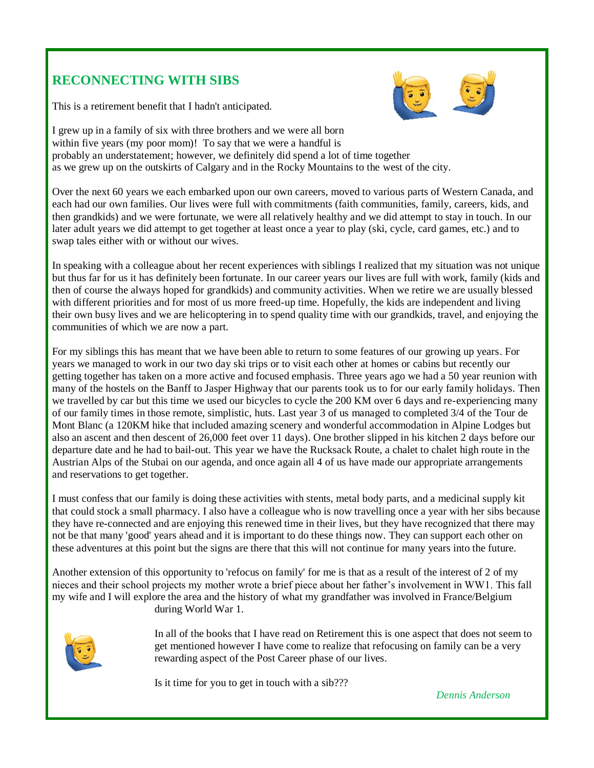# **RECONNECTING WITH SIBS**

This is a retirement benefit that I hadn't anticipated.



I grew up in a family of six with three brothers and we were all born within five years (my poor mom)! To say that we were a handful is probably an understatement; however, we definitely did spend a lot of time together as we grew up on the outskirts of Calgary and in the Rocky Mountains to the west of the city.

Over the next 60 years we each embarked upon our own careers, moved to various parts of Western Canada, and each had our own families. Our lives were full with commitments (faith communities, family, careers, kids, and then grandkids) and we were fortunate, we were all relatively healthy and we did attempt to stay in touch. In our later adult years we did attempt to get together at least once a year to play (ski, cycle, card games, etc.) and to swap tales either with or without our wives.

In speaking with a colleague about her recent experiences with siblings I realized that my situation was not unique but thus far for us it has definitely been fortunate. In our career years our lives are full with work, family (kids and then of course the always hoped for grandkids) and community activities. When we retire we are usually blessed with different priorities and for most of us more freed-up time. Hopefully, the kids are independent and living their own busy lives and we are helicoptering in to spend quality time with our grandkids, travel, and enjoying the communities of which we are now a part.

For my siblings this has meant that we have been able to return to some features of our growing up years. For years we managed to work in our two day ski trips or to visit each other at homes or cabins but recently our getting together has taken on a more active and focused emphasis. Three years ago we had a 50 year reunion with many of the hostels on the Banff to Jasper Highway that our parents took us to for our early family holidays. Then we travelled by car but this time we used our bicycles to cycle the 200 KM over 6 days and re-experiencing many of our family times in those remote, simplistic, huts. Last year 3 of us managed to completed 3/4 of the Tour de Mont Blanc (a 120KM hike that included amazing scenery and wonderful accommodation in Alpine Lodges but also an ascent and then descent of 26,000 feet over 11 days). One brother slipped in his kitchen 2 days before our departure date and he had to bail-out. This year we have the Rucksack Route, a chalet to chalet high route in the Austrian Alps of the Stubai on our agenda, and once again all 4 of us have made our appropriate arrangements and reservations to get together.

I must confess that our family is doing these activities with stents, metal body parts, and a medicinal supply kit that could stock a small pharmacy. I also have a colleague who is now travelling once a year with her sibs because they have re-connected and are enjoying this renewed time in their lives, but they have recognized that there may not be that many 'good' years ahead and it is important to do these things now. They can support each other on these adventures at this point but the signs are there that this will not continue for many years into the future.

Another extension of this opportunity to 'refocus on family' for me is that as a result of the interest of 2 of my nieces and their school projects my mother wrote a brief piece about her father's involvement in WW1. This fall my wife and I will explore the area and the history of what my grandfather was involved in France/Belgium during World War 1.



In all of the books that I have read on Retirement this is one aspect that does not seem to get mentioned however I have come to realize that refocusing on family can be a very rewarding aspect of the Post Career phase of our lives.

Is it time for you to get in touch with a sib???

*Dennis Anderson*